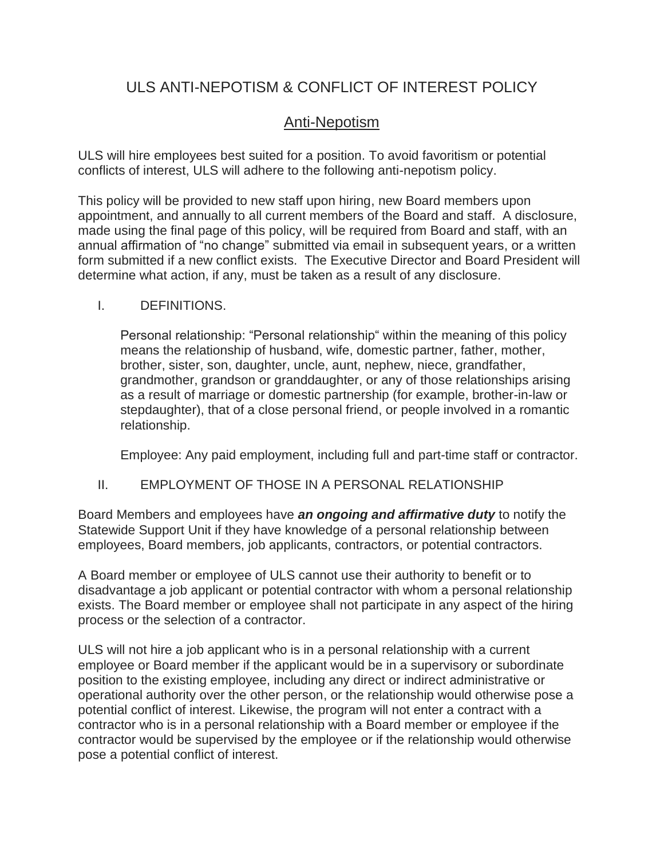# ULS ANTI-NEPOTISM & CONFLICT OF INTEREST POLICY

# Anti-Nepotism

ULS will hire employees best suited for a position. To avoid favoritism or potential conflicts of interest, ULS will adhere to the following anti-nepotism policy.

This policy will be provided to new staff upon hiring, new Board members upon appointment, and annually to all current members of the Board and staff. A disclosure, made using the final page of this policy, will be required from Board and staff, with an annual affirmation of "no change" submitted via email in subsequent years, or a written form submitted if a new conflict exists. The Executive Director and Board President will determine what action, if any, must be taken as a result of any disclosure.

# I. DEFINITIONS.

Personal relationship: "Personal relationship" within the meaning of this policy means the relationship of husband, wife, domestic partner, father, mother, brother, sister, son, daughter, uncle, aunt, nephew, niece, grandfather, grandmother, grandson or granddaughter, or any of those relationships arising as a result of marriage or domestic partnership (for example, brother-in-law or stepdaughter), that of a close personal friend, or people involved in a romantic relationship.

Employee: Any paid employment, including full and part-time staff or contractor.

# II. EMPLOYMENT OF THOSE IN A PERSONAL RELATIONSHIP

Board Members and employees have *an ongoing and affirmative duty* to notify the Statewide Support Unit if they have knowledge of a personal relationship between employees, Board members, job applicants, contractors, or potential contractors.

A Board member or employee of ULS cannot use their authority to benefit or to disadvantage a job applicant or potential contractor with whom a personal relationship exists. The Board member or employee shall not participate in any aspect of the hiring process or the selection of a contractor.

ULS will not hire a job applicant who is in a personal relationship with a current employee or Board member if the applicant would be in a supervisory or subordinate position to the existing employee, including any direct or indirect administrative or operational authority over the other person, or the relationship would otherwise pose a potential conflict of interest. Likewise, the program will not enter a contract with a contractor who is in a personal relationship with a Board member or employee if the contractor would be supervised by the employee or if the relationship would otherwise pose a potential conflict of interest.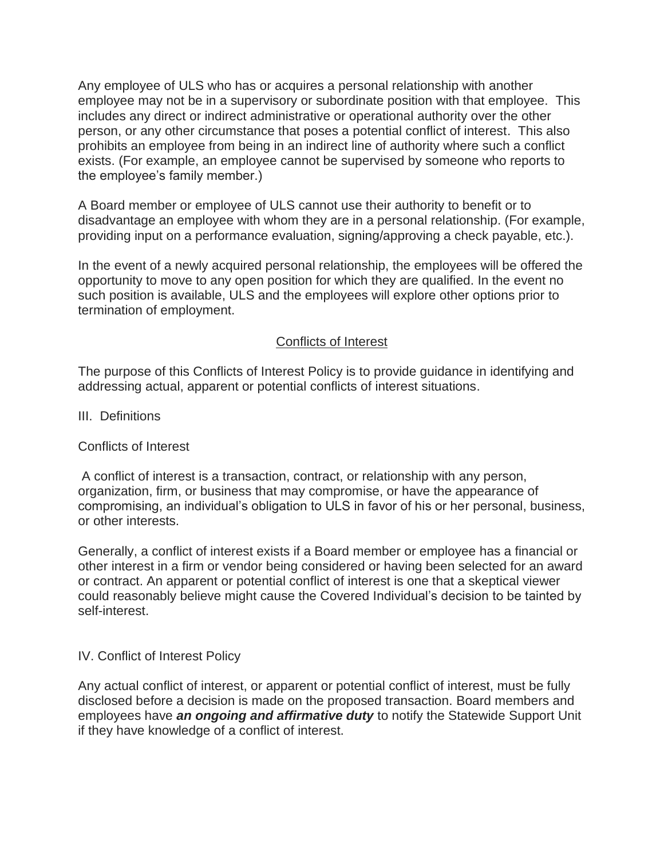Any employee of ULS who has or acquires a personal relationship with another employee may not be in a supervisory or subordinate position with that employee. This includes any direct or indirect administrative or operational authority over the other person, or any other circumstance that poses a potential conflict of interest. This also prohibits an employee from being in an indirect line of authority where such a conflict exists. (For example, an employee cannot be supervised by someone who reports to the employee's family member.)

A Board member or employee of ULS cannot use their authority to benefit or to disadvantage an employee with whom they are in a personal relationship. (For example, providing input on a performance evaluation, signing/approving a check payable, etc.).

In the event of a newly acquired personal relationship, the employees will be offered the opportunity to move to any open position for which they are qualified. In the event no such position is available, ULS and the employees will explore other options prior to termination of employment.

#### Conflicts of Interest

The purpose of this Conflicts of Interest Policy is to provide guidance in identifying and addressing actual, apparent or potential conflicts of interest situations.

III. Definitions

# Conflicts of Interest

A conflict of interest is a transaction, contract, or relationship with any person, organization, firm, or business that may compromise, or have the appearance of compromising, an individual's obligation to ULS in favor of his or her personal, business, or other interests.

Generally, a conflict of interest exists if a Board member or employee has a financial or other interest in a firm or vendor being considered or having been selected for an award or contract. An apparent or potential conflict of interest is one that a skeptical viewer could reasonably believe might cause the Covered Individual's decision to be tainted by self-interest.

# IV. Conflict of Interest Policy

Any actual conflict of interest, or apparent or potential conflict of interest, must be fully disclosed before a decision is made on the proposed transaction. Board members and employees have *an ongoing and affirmative duty* to notify the Statewide Support Unit if they have knowledge of a conflict of interest.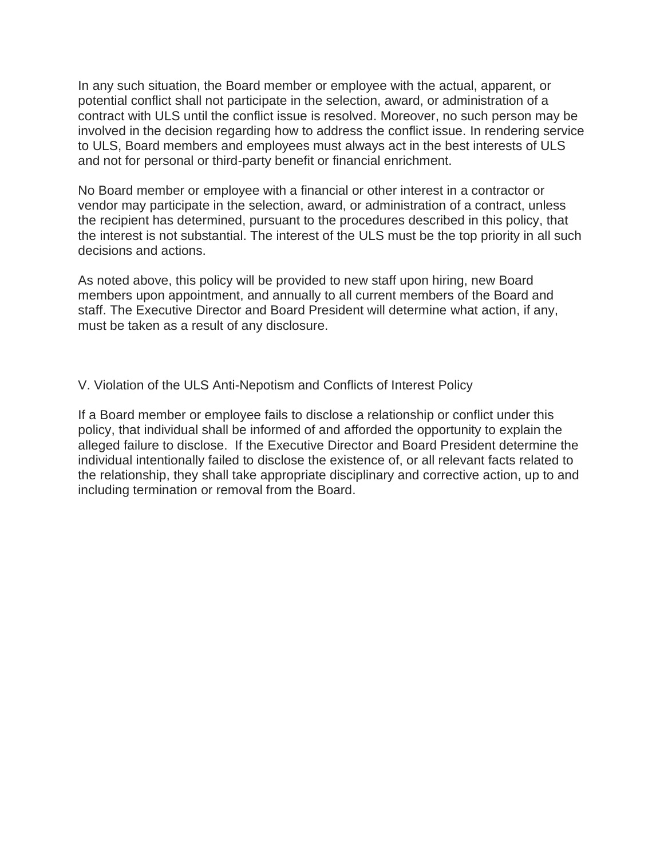In any such situation, the Board member or employee with the actual, apparent, or potential conflict shall not participate in the selection, award, or administration of a contract with ULS until the conflict issue is resolved. Moreover, no such person may be involved in the decision regarding how to address the conflict issue. In rendering service to ULS, Board members and employees must always act in the best interests of ULS and not for personal or third-party benefit or financial enrichment.

No Board member or employee with a financial or other interest in a contractor or vendor may participate in the selection, award, or administration of a contract, unless the recipient has determined, pursuant to the procedures described in this policy, that the interest is not substantial. The interest of the ULS must be the top priority in all such decisions and actions.

As noted above, this policy will be provided to new staff upon hiring, new Board members upon appointment, and annually to all current members of the Board and staff. The Executive Director and Board President will determine what action, if any, must be taken as a result of any disclosure.

V. Violation of the ULS Anti-Nepotism and Conflicts of Interest Policy

If a Board member or employee fails to disclose a relationship or conflict under this policy, that individual shall be informed of and afforded the opportunity to explain the alleged failure to disclose. If the Executive Director and Board President determine the individual intentionally failed to disclose the existence of, or all relevant facts related to the relationship, they shall take appropriate disciplinary and corrective action, up to and including termination or removal from the Board.